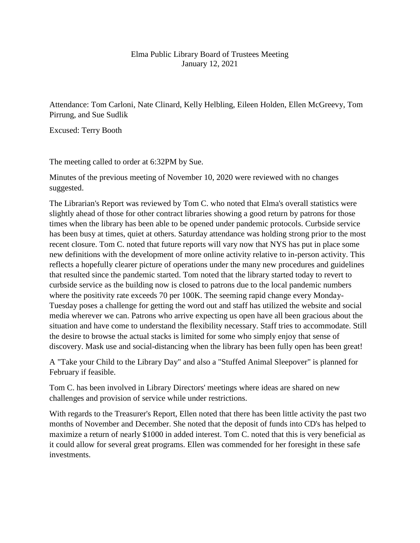## Elma Public Library Board of Trustees Meeting January 12, 2021

Attendance: Tom Carloni, Nate Clinard, Kelly Helbling, Eileen Holden, Ellen McGreevy, Tom Pirrung, and Sue Sudlik

Excused: Terry Booth

The meeting called to order at 6:32PM by Sue.

Minutes of the previous meeting of November 10, 2020 were reviewed with no changes suggested.

The Librarian's Report was reviewed by Tom C. who noted that Elma's overall statistics were slightly ahead of those for other contract libraries showing a good return by patrons for those times when the library has been able to be opened under pandemic protocols. Curbside service has been busy at times, quiet at others. Saturday attendance was holding strong prior to the most recent closure. Tom C. noted that future reports will vary now that NYS has put in place some new definitions with the development of more online activity relative to in-person activity. This reflects a hopefully clearer picture of operations under the many new procedures and guidelines that resulted since the pandemic started. Tom noted that the library started today to revert to curbside service as the building now is closed to patrons due to the local pandemic numbers where the positivity rate exceeds 70 per 100K. The seeming rapid change every Monday-Tuesday poses a challenge for getting the word out and staff has utilized the website and social media wherever we can. Patrons who arrive expecting us open have all been gracious about the situation and have come to understand the flexibility necessary. Staff tries to accommodate. Still the desire to browse the actual stacks is limited for some who simply enjoy that sense of discovery. Mask use and social-distancing when the library has been fully open has been great!

A "Take your Child to the Library Day" and also a "Stuffed Animal Sleepover" is planned for February if feasible.

Tom C. has been involved in Library Directors' meetings where ideas are shared on new challenges and provision of service while under restrictions.

With regards to the Treasurer's Report, Ellen noted that there has been little activity the past two months of November and December. She noted that the deposit of funds into CD's has helped to maximize a return of nearly \$1000 in added interest. Tom C. noted that this is very beneficial as it could allow for several great programs. Ellen was commended for her foresight in these safe investments.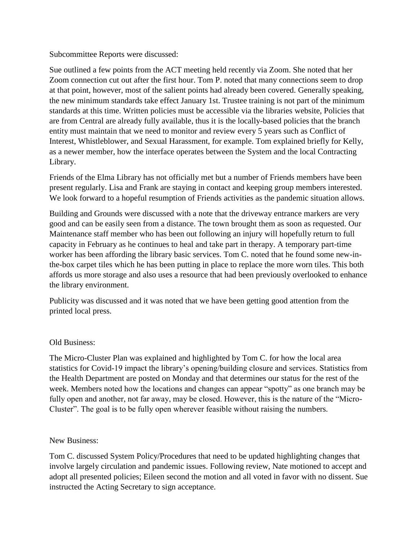Subcommittee Reports were discussed:

Sue outlined a few points from the ACT meeting held recently via Zoom. She noted that her Zoom connection cut out after the first hour. Tom P. noted that many connections seem to drop at that point, however, most of the salient points had already been covered. Generally speaking, the new minimum standards take effect January 1st. Trustee training is not part of the minimum standards at this time. Written policies must be accessible via the libraries website, Policies that are from Central are already fully available, thus it is the locally-based policies that the branch entity must maintain that we need to monitor and review every 5 years such as Conflict of Interest, Whistleblower, and Sexual Harassment, for example. Tom explained briefly for Kelly, as a newer member, how the interface operates between the System and the local Contracting Library.

Friends of the Elma Library has not officially met but a number of Friends members have been present regularly. Lisa and Frank are staying in contact and keeping group members interested. We look forward to a hopeful resumption of Friends activities as the pandemic situation allows.

Building and Grounds were discussed with a note that the driveway entrance markers are very good and can be easily seen from a distance. The town brought them as soon as requested. Our Maintenance staff member who has been out following an injury will hopefully return to full capacity in February as he continues to heal and take part in therapy. A temporary part-time worker has been affording the library basic services. Tom C. noted that he found some new-inthe-box carpet tiles which he has been putting in place to replace the more worn tiles. This both affords us more storage and also uses a resource that had been previously overlooked to enhance the library environment.

Publicity was discussed and it was noted that we have been getting good attention from the printed local press.

## Old Business:

The Micro-Cluster Plan was explained and highlighted by Tom C. for how the local area statistics for Covid-19 impact the library's opening/building closure and services. Statistics from the Health Department are posted on Monday and that determines our status for the rest of the week. Members noted how the locations and changes can appear "spotty" as one branch may be fully open and another, not far away, may be closed. However, this is the nature of the "Micro-Cluster". The goal is to be fully open wherever feasible without raising the numbers.

## New Business:

Tom C. discussed System Policy/Procedures that need to be updated highlighting changes that involve largely circulation and pandemic issues. Following review, Nate motioned to accept and adopt all presented policies; Eileen second the motion and all voted in favor with no dissent. Sue instructed the Acting Secretary to sign acceptance.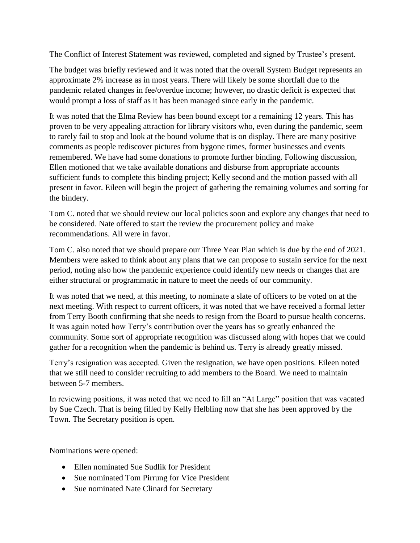The Conflict of Interest Statement was reviewed, completed and signed by Trustee's present.

The budget was briefly reviewed and it was noted that the overall System Budget represents an approximate 2% increase as in most years. There will likely be some shortfall due to the pandemic related changes in fee/overdue income; however, no drastic deficit is expected that would prompt a loss of staff as it has been managed since early in the pandemic.

It was noted that the Elma Review has been bound except for a remaining 12 years. This has proven to be very appealing attraction for library visitors who, even during the pandemic, seem to rarely fail to stop and look at the bound volume that is on display. There are many positive comments as people rediscover pictures from bygone times, former businesses and events remembered. We have had some donations to promote further binding. Following discussion, Ellen motioned that we take available donations and disburse from appropriate accounts sufficient funds to complete this binding project; Kelly second and the motion passed with all present in favor. Eileen will begin the project of gathering the remaining volumes and sorting for the bindery.

Tom C. noted that we should review our local policies soon and explore any changes that need to be considered. Nate offered to start the review the procurement policy and make recommendations. All were in favor.

Tom C. also noted that we should prepare our Three Year Plan which is due by the end of 2021. Members were asked to think about any plans that we can propose to sustain service for the next period, noting also how the pandemic experience could identify new needs or changes that are either structural or programmatic in nature to meet the needs of our community.

It was noted that we need, at this meeting, to nominate a slate of officers to be voted on at the next meeting. With respect to current officers, it was noted that we have received a formal letter from Terry Booth confirming that she needs to resign from the Board to pursue health concerns. It was again noted how Terry's contribution over the years has so greatly enhanced the community. Some sort of appropriate recognition was discussed along with hopes that we could gather for a recognition when the pandemic is behind us. Terry is already greatly missed.

Terry's resignation was accepted. Given the resignation, we have open positions. Eileen noted that we still need to consider recruiting to add members to the Board. We need to maintain between 5-7 members.

In reviewing positions, it was noted that we need to fill an "At Large" position that was vacated by Sue Czech. That is being filled by Kelly Helbling now that she has been approved by the Town. The Secretary position is open.

Nominations were opened:

- Ellen nominated Sue Sudlik for President
- Sue nominated Tom Pirrung for Vice President
- Sue nominated Nate Clinard for Secretary